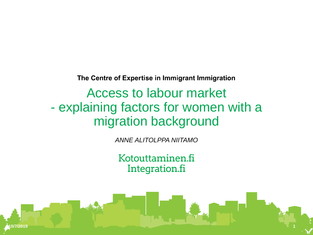Access to labour market - explaining factors for women with a migration background

*ANNE ALITOLPPA NIITAMO* 

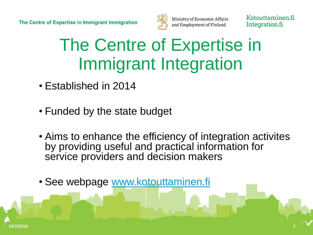

Ministry of Economic Affairs and Employment of Finland

Kotouttaminen.fi Integration.fi

# The Centre of Expertise in Immigrant Integration

- Established in 2014
- Funded by the state budget
- Aims to enhance the efficiency of integration activites by providing useful and practical information for service providers and decision makers

**10/7/2019 2**

• See webpage [www.kotouttaminen.fi](http://www.kotouttaminen.fi/)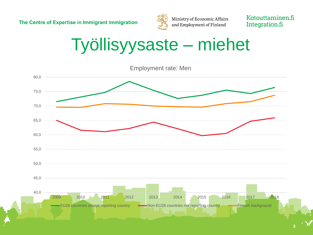

Ministry of Economic Affairs and Employment of Finland

Kotouttaminen.fi Integration.fi

## Työllisyysaste – miehet

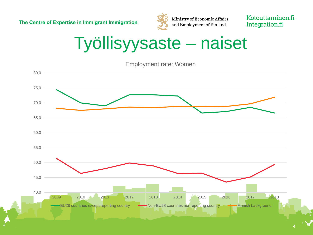

Kotouttaminen.fi Integration.fi

## Työllisyysaste – naiset

Employment rate: Women

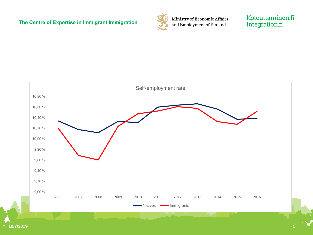

Ministry of Economic Affairs and Employment of Finland

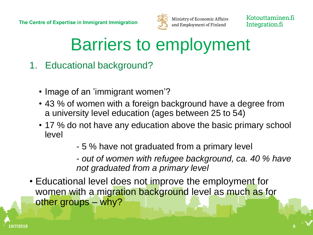

# Barriers to employment

- 1. Educational background?
	- Image of an 'immigrant women'?
	- 43 % of women with a foreign background have a degree from a university level education (ages between 25 to 54)
	- 17 % do not have any education above the basic primary school level
		- 5 % have not graduated from a primary level
		- *out of women with refugee background, ca. 40 % have not graduated from a primary level*
- Educational level does not improve the employment for women with a migration background level as much as for other groups – why?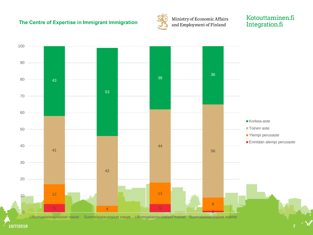

Ministry of Economic Affairs and Employment of Finland

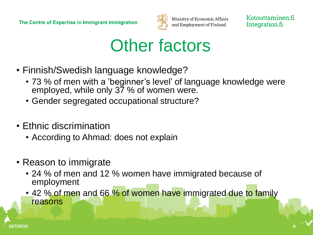

Kotouttaminen fi Integration.fi

## Other factors

- Finnish/Swedish language knowledge?
	- 73 % of men with a 'beginner's level' of language knowledge were employed, while only 37 % of women were.
	- Gender segregated occupational structure?
- Ethnic discrimination
	- According to Ahmad: does not explain
- Reason to immigrate
	- 24 % of men and 12 % women have immigrated because of employment
	- 42 % of men and 66 % of women have immigrated due to family reasons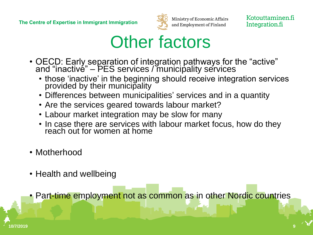

### Other factors

- OECD: Early separation of integration pathways for the "active" and "inactivé" – PES services / municipality services
	- those 'inactive' in the beginning should receive integration services provided by their municipality
	- Differences between municipalities' services and in a quantity
	- Are the services geared towards labour market?
	- Labour market integration may be slow for many
	- In case there are services with labour market focus, how do they reach out for women at home
- Motherhood
- Health and wellbeing
- Part-time employment not as common as in other Nordic countries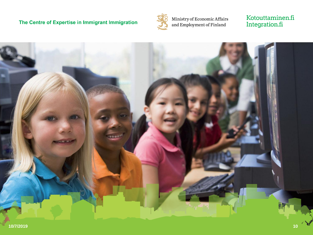

Ministry of Economic Affairs and Employment of Finland